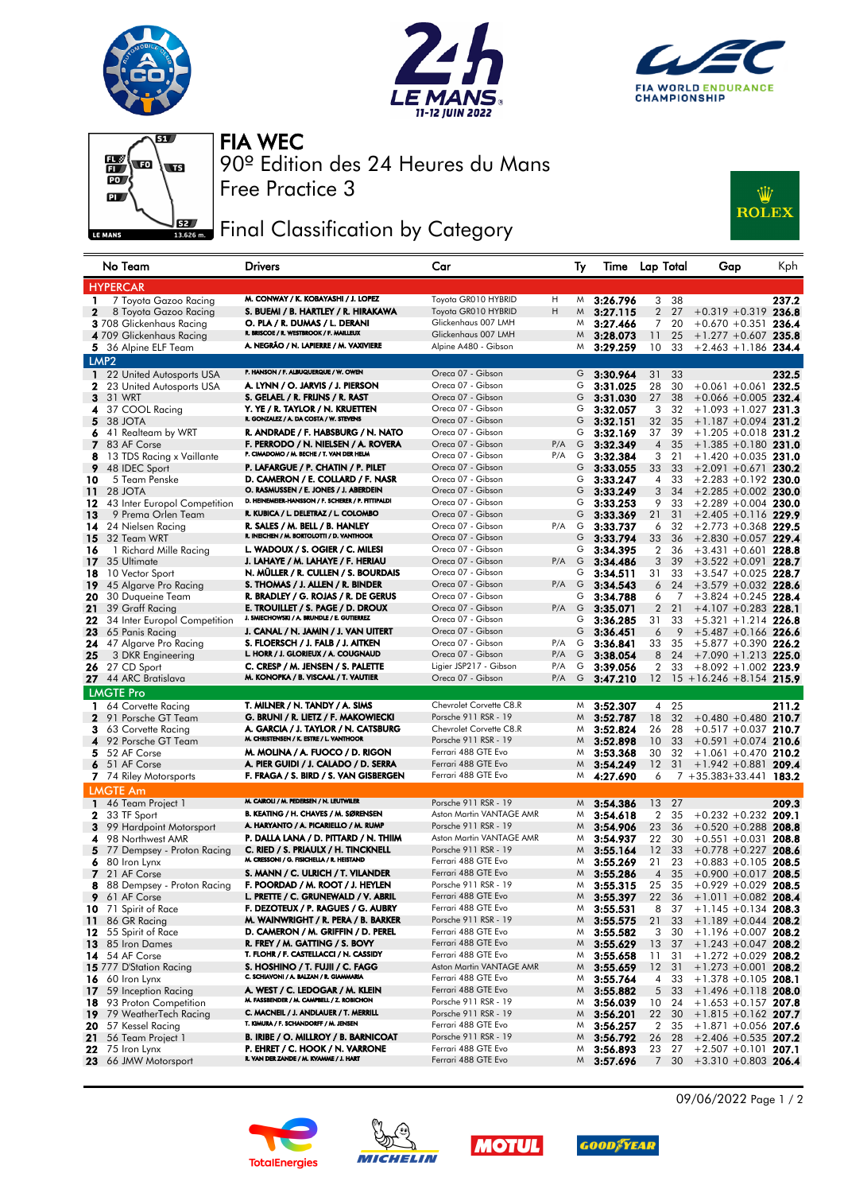







Free Practice 3 90º Edition des 24 Heures du Mans FIA WEC

## Final Classification by Category



|                 | No Team                                       | <b>Drivers</b>                                                            | Car                                             |            | Ту     | Time Lap Total       |                 |              | Gap                                                  | Kph   |
|-----------------|-----------------------------------------------|---------------------------------------------------------------------------|-------------------------------------------------|------------|--------|----------------------|-----------------|--------------|------------------------------------------------------|-------|
|                 | <b>HYPERCAR</b>                               |                                                                           |                                                 |            |        |                      |                 |              |                                                      |       |
| 1               | 7 Toyota Gazoo Racing                         | M. CONWAY / K. KOBAYASHI / J. LOPEZ                                       | Toyota GR010 HYBRID                             | H          |        | $M$ 3:26.796         |                 | 3 38         |                                                      | 237.2 |
| $\mathbf{2}$    | 8 Toyota Gazoo Racing                         | S. BUEMI / B. HARTLEY / R. HIRAKAWA                                       | Toyota GR010 HYBRID                             | H          |        | $M$ 3:27.115         | $\overline{2}$  | 27           | $+0.319 + 0.319$ 236.8                               |       |
|                 | 3 708 Glickenhaus Racing                      | O. PLA / R. DUMAS / L. DERANI                                             | Glickenhaus 007 LMH                             |            | M      | 3:27.466             | 7               | 20           | $+0.670 + 0.351$ 236.4                               |       |
|                 | 4 709 Glickenhaus Racing                      | R. BRISCOE / R. WESTBROOK / F. MAILLEUX                                   | Glickenhaus 007 LMH                             |            | M      | 3:28.073             | 11              | 25           | $+1.277 + 0.607$ 235.8                               |       |
|                 | 5 36 Alpine ELF Team                          | A. NEGRÃO / N. LAPIERRE / M. VAXIVIERE                                    | Alpine A480 - Gibson                            |            | M      | 3:29.259             | 10 <sup>1</sup> | 33           | $+2.463 + 1.186$ 234.4                               |       |
|                 | LMP <sub>2</sub>                              |                                                                           |                                                 |            |        |                      |                 |              |                                                      |       |
|                 | 1 22 United Autosports USA                    | P. HANSON / F. ALBUQUERQUE / W. OWEN                                      | Oreca 07 - Gibson                               |            | G      | 3:30.964             | 31              | 33           |                                                      | 232.5 |
|                 | <b>2</b> 23 United Autosports USA             | A. LYNN / O. JARVIS / J. PIERSON                                          | Oreca 07 - Gibson                               |            | G      | 3:31.025             | 28              | 30           | $+0.061 + 0.061$ 232.5                               |       |
|                 | <b>3</b> 31 WRT                               | S. GELAEL / R. FRIJNS / R. RAST                                           | Oreca 07 - Gibson                               |            | G      | 3:31.030             | 27              | 38           | $+0.066 + 0.005$ 232.4                               |       |
|                 | 4 37 COOL Racing                              | Y. YE / R. TAYLOR / N. KRUETTEN                                           | Oreca 07 - Gibson                               |            | G      | 3:32.057             | 3               | 32           | $+1.093 + 1.027$ 231.3                               |       |
| 5.              | 38 JOTA                                       | R. GONZALEZ / A. DA COSTA / W. STEVENS                                    | Oreca 07 - Gibson                               |            | G      | 3:32.151             | 32              | 35           | $+1.187 + 0.094$ 231.2                               |       |
| 6.              | 41 Realteam by WRT                            | R. ANDRADE / F. HABSBURG / N. NATO<br>F. PERRODO / N. NIELSEN / A. ROVERA | Oreca 07 - Gibson                               |            | G      | 3:32.169             | 37              | 39           | $+1.205 +0.018$ 231.2                                |       |
|                 | 7 83 AF Corse                                 | P. CIMADOMO / M. BECHE / T. VAN DER HELM                                  | Oreca 07 - Gibson<br>Oreca 07 - Gibson          | P/A<br>P/A | G      | 3:32.349             | 4               | 35           | $+1.385 +0.180$ 231.0                                |       |
| 8               | 13 TDS Racing x Vaillante                     | P. LAFARGUE / P. CHATIN / P. PILET                                        | Oreca 07 - Gibson                               |            | G      | $G$ 3:32.384         | 3<br>33         | 21<br>33     | $+1.420 +0.035$ 231.0<br>$+2.091 +0.671$ 230.2       |       |
| 9<br>10         | 48 IDEC Sport<br>5 Team Penske                | D. CAMERON / E. COLLARD / F. NASR                                         | Oreca 07 - Gibson                               |            | G      | 3:33.055<br>3:33.247 | 4               | 33           | $+2.283 +0.192$ 230.0                                |       |
| 11              | 28 JOTA                                       | O. RASMUSSEN / E. JONES / J. ABERDEIN                                     | Oreca 07 - Gibson                               |            | G      | 3:33.249             | 3               | 34           | $+2.285 +0.002$ 230.0                                |       |
|                 | <b>12</b> 43 Inter Europol Competition        | D. HEINEMEIER-HANSSON / F. SCHERER / P. FITTIPALDI                        | Oreca 07 - Gibson                               |            | G      | 3:33.253             | 9               | 33           | $+2.289 +0.004$ 230.0                                |       |
| 13              | 9 Prema Orlen Team                            | R. KUBICA / L. DELETRAZ / L. COLOMBO                                      | Oreca 07 - Gibson                               |            | G      | 3:33.369             | 21              | 31           | $+2.405 +0.116$ 229.9                                |       |
|                 | 14 24 Nielsen Racing                          | R. SALES / M. BELL / B. HANLEY                                            | Oreca 07 - Gibson                               | $P/A$ G    |        | 3:33.737             | 6               | 32           | $+2.773 +0.368$ 229.5                                |       |
| 15              | 32 Team WRT                                   | R. INEICHEN / M. BORTOLOTTI / D. VANTHOOR                                 | Oreca 07 - Gibson                               |            | G      | 3:33.794             | 33              | 36           | $+2.830 + 0.057$ 229.4                               |       |
| 16              | 1 Richard Mille Racing                        | L. WADOUX / S. OGIER / C. MILESI                                          | Oreca 07 - Gibson                               |            | G      | 3:34.395             | 2               | 36           | $+3.431 + 0.601$ 228.8                               |       |
|                 | 17 35 Ultimate                                | J. LAHAYE / M. LAHAYE / F. HERIAU                                         | Oreca 07 - Gibson                               | $P/A$ G    |        | 3:34.486             | 3               | 39           | $+3.522 + 0.091$ 228.7                               |       |
| 18              | 10 Vector Sport                               | N. MÜLLER / R. CULLEN / S. BOURDAIS                                       | Oreca 07 - Gibson                               |            | G      | 3:34.511             | 31              | 33           | $+3.547 + 0.025$ 228.7                               |       |
| 19              | 45 Algarve Pro Racing                         | S. THOMAS / J. ALLEN / R. BINDER                                          | Oreca 07 - Gibson                               | P/A        | G      | 3:34.543             | 6               | 24           | $+3.579 + 0.032$ 228.6                               |       |
| 20              | 30 Duqueine Team                              | R. BRADLEY / G. ROJAS / R. DE GERUS                                       | Oreca 07 - Gibson                               |            | G      | 3:34.788             | 6               | 7            | $+3.824 + 0.245$ 228.4                               |       |
| 21              | 39 Graff Racing                               | E. TROUILLET / S. PAGE / D. DROUX                                         | Oreca 07 - Gibson                               | $P/A$ G    |        | 3:35.071             | $\overline{2}$  | 21           | $+4.107 +0.283$ 228.1                                |       |
|                 | 22 34 Inter Europol Competition               | J. SMIECHOWSKI / A. BRUNDLE / E. GUTIERREZ                                | Oreca 07 - Gibson                               |            | G      | 3:36.285             | 31              | 33           | $+5.321 + 1.214$ 226.8                               |       |
| 23              | 65 Panis Racing                               | J. CANAL / N. JAMIN / J. VAN UITERT                                       | Oreca 07 - Gibson                               |            | G      | 3:36.451             | 6               | 9            | $+5.487 +0.166$ 226.6                                |       |
| 24              | 47 Algarve Pro Racing                         | S. FLOERSCH / J. FALB / J. AITKEN<br>L. HORR / J. GLORIEUX / A. COUGNAUD  | Oreca 07 - Gibson                               | $P/A$ G    |        | 3:36.841             | 33              | 35           | $+5.877 +0.390$ 226.2                                |       |
| 25              | 3 DKR Engineering                             | C. CRESP / M. JENSEN / S. PALETTE                                         | Oreca 07 - Gibson<br>Ligier JSP217 - Gibson     | P/A<br>P/A | G<br>G | 3:38.054             | 8               | 24           | $+7.090 + 1.213$ 225.0                               |       |
|                 | <b>26</b> 27 CD Sport<br>27 44 ARC Bratislava | M. KONOPKA / B. VISCAAL / T. VAUTIER                                      | Oreca 07 - Gibson                               | P/A        | G      | 3:39.056<br>3:47.210 | 2<br>$12 \,$    | 33           | $+8.092 +1.002$ 223.9<br>$15 + 16.246 + 8.154$ 215.9 |       |
|                 |                                               |                                                                           |                                                 |            |        |                      |                 |              |                                                      |       |
|                 | <b>LMGTE Pro</b>                              |                                                                           |                                                 |            |        |                      |                 |              |                                                      |       |
| 1               | 64 Corvette Racing<br>2 91 Porsche GT Team    | T. MILNER / N. TANDY / A. SIMS<br>G. BRUNI / R. LIETZ / F. MAKOWIECKI     | Chevrolet Corvette C8.R<br>Porsche 911 RSR - 19 |            | M<br>M | 3:52.307<br>3:52.787 | 18              | 4 25<br>- 32 | $+0.480 + 0.480$ 210.7                               | 211.2 |
| 3.              | 63 Corvette Racing                            | A. GARCIA / J. TAYLOR / N. CATSBURG                                       | Chevrolet Corvette C8.R                         |            | M      | 3:52.824             | 26              | -28          | $+0.517 + 0.037$ 210.7                               |       |
|                 | 4 92 Porsche GT Team                          | M. CHRISTENSEN / K. ESTRE / L. VANTHOOR                                   | Porsche 911 RSR - 19                            |            |        | $M$ 3:52.898         | 10 <sup>°</sup> | 33           | $+0.591 + 0.074$ 210.6                               |       |
| 5.              | 52 AF Corse                                   | M. MOLINA / A. FUOCO / D. RIGON                                           | Ferrari 488 GTE Evo                             |            | M      | 3:53.368             | 30              | 32           | $+1.061 + 0.470$ 210.2                               |       |
|                 | 6 51 AF Corse                                 | A. PIER GUIDI / J. CALADO / D. SERRA                                      | Ferrari 488 GTE Evo                             |            | M      | 3:54.249             | 12              | 31           | $+1.942 + 0.881$ 209.4                               |       |
|                 | 7 74 Riley Motorsports                        | F. FRAGA / S. BIRD / S. VAN GISBERGEN                                     | Ferrari 488 GTE Evo                             |            |        | M 4:27.690           | 6               |              | 7 +35.383+33.441 183.2                               |       |
|                 | <b>LMGTE Am</b>                               |                                                                           |                                                 |            |        |                      |                 |              |                                                      |       |
|                 | 1 46 Team Project 1                           | M. CAIROLI / M. PEDERSEN / N. LEUTWILER                                   | Porsche 911 RSR - 19                            |            |        | $M$ 3:54.386         |                 | 13 27        |                                                      | 209.3 |
|                 | 2 33 TF Sport                                 | B. KEATING / H. CHAVES / M. SØRENSEN                                      | Aston Martin VANTAGE AMR                        |            | M      | 3:54.618             | $\overline{2}$  | 35           | $+0.232 + 0.232$ 209.1                               |       |
|                 | 3 99 Hardpoint Motorsport                     | A. HARYANTO / A. PICARIELLO / M. RUMP                                     | Porsche 911 RSR - 19                            |            | M      | 3:54.906             | 23              | 36           | $+0.520 + 0.288$ 208.8                               |       |
| 4               | 98 Northwest AMR                              | P. DALLA LANA / D. PITTARD / N. THIIM                                     | Aston Martin VANTAGE AMR                        |            | M      | 3:54.937             | 22              | 30           | $+0.551 + 0.031$ 208.8                               |       |
| 5.              | 77 Dempsey - Proton Racing                    | C. RIED / S. PRIAULX / H. TINCKNELL                                       | Porsche 911 RSR - 19                            |            | M      | 3:55.164             | 12              | 33           | $+0.778 +0.227$ 208.6                                |       |
| 6               | 80 Iron Lynx                                  | M. CRESSONI / G. FISICHELLA / R. HEISTAND                                 | Ferrari 488 GTE Evo                             |            | M      | 3:55.269             | 21              | -23          | $+0.883 +0.105$ 208.5                                |       |
|                 | 7 21 AF Corse                                 | S. MANN / C. ULRICH / T. VILANDER                                         | Ferrari 488 GTE Evo                             |            | M      | 3:55.286             | $\overline{4}$  | 35           | $+0.900 +0.017$ 208.5                                |       |
|                 | 8 88 Dempsey - Proton Racing                  | F. POORDAD / M. ROOT / J. HEYLEN                                          | Porsche 911 RSR - 19                            |            |        | $M$ 3:55.315         | 25              | 35           | $+0.929 +0.029$ 208.5                                |       |
|                 | 9 61 AF Corse                                 | L. PRETTE / C. GRUNEWALD / V. ABRIL                                       | Ferrari 488 GTE Evo                             |            | M      | 3:55.397             | 22              | 36           | $+1.011 + 0.082$ 208.4                               |       |
|                 | 10 71 Spirit of Race                          | F. DEZOTEUX / P. RAGUES / G. AUBRY                                        | Ferrari 488 GTE Evo                             |            | M      | 3:55.531             | 8               | 37           | $+1.145 +0.134$ 208.3                                |       |
|                 | 11 86 GR Racing                               | M. WAINWRIGHT / R. PERA / B. BARKER                                       | Porsche 911 RSR - 19                            |            |        | $M$ 3:55.575         | 21              | 33           | $+1.189 + 0.044$ 208.2                               |       |
|                 | 12 55 Spirit of Race                          | D. CAMERON / M. GRIFFIN / D. PEREL                                        | Ferrari 488 GTE Evo                             |            | M      | 3:55.582             | 3               | 30           | $+1.196 +0.007$ 208.2                                |       |
|                 | <b>13</b> 85 Iron Dames                       | R. FREY / M. GATTING / S. BOVY<br>T. FLOHR / F. CASTELLACCI / N. CASSIDY  | Ferrari 488 GTE Evo<br>Ferrari 488 GTE Evo      |            | M      | 3:55.629             | 13              | 37           | $+1.243 +0.047$ 208.2                                |       |
|                 | 14 54 AF Corse                                | S. HOSHINO / T. FUJII / C. FAGG                                           | Aston Martin VANTAGE AMR                        |            | M<br>M | 3:55.658             | 11              | 31           | $+1.272 +0.029$ 208.2                                |       |
|                 | 15 777 D'Station Racing<br>16 60 Iron Lynx    | C. SCHIAVONI / A. BALZAN / R. GIAMMARIA                                   | Ferrari 488 GTE Evo                             |            | M      | 3:55.659<br>3:55.764 | 12<br>4         | 31<br>33     | $+1.273 +0.001$ 208.2<br>$+1.378 + 0.105$ 208.1      |       |
| 17 <sub>1</sub> | 59 Inception Racing                           | A. WEST / C. LEDOGAR / M. KLEIN                                           | Ferrari 488 GTE Evo                             |            | M      | 3:55.882             |                 | 5 33         | $+1.496 +0.118$ 208.0                                |       |
|                 | <b>18</b> 93 Proton Competition               | M. FASSBENDER / M. CAMPBELL / Z. ROBICHON                                 | Porsche 911 RSR - 19                            |            | M      | 3:56.039             |                 | 10 24        | $+1.653 +0.157$ 207.8                                |       |
|                 | 19 79 WeatherTech Racing                      | C. MACNEIL / J. ANDLAUER / T. MERRILL                                     | Porsche 911 RSR - 19                            |            |        | $M$ 3:56.201         | 22              | 30           | $+1.815 + 0.162$ 207.7                               |       |
|                 | 20 57 Kessel Racing                           | T. KIMURA / F. SCHANDORFF / M. JENSEN                                     | Ferrari 488 GTE Evo                             |            | M      | 3:56.257             | $\mathbf{2}$    | 35           | $+1.871 +0.056$ 207.6                                |       |
|                 | 21 56 Team Project 1                          | B. IRIBE / O. MILLROY / B. BARNICOAT                                      | Porsche 911 RSR - 19                            |            | M      | 3:56.792             | 26              | 28           | $+2.406 + 0.535$ 207.2                               |       |
|                 | 22 75 Iron Lynx                               | P. EHRET / C. HOOK / N. VARRONE                                           | Ferrari 488 GTE Evo                             |            | M      | 3:56.893             |                 | 23 27        | $+2.507 +0.101$ 207.1                                |       |
|                 | 23 66 JMW Motorsport                          | R. VAN DER ZANDE / M. KVAMME / J. HART                                    | Ferrari 488 GTE Evo                             |            |        | $M$ 3:57.696         | $7\overline{ }$ | 30           | $+3.310 + 0.803$ 206.4                               |       |









09/06/2022 Page 1 / 2